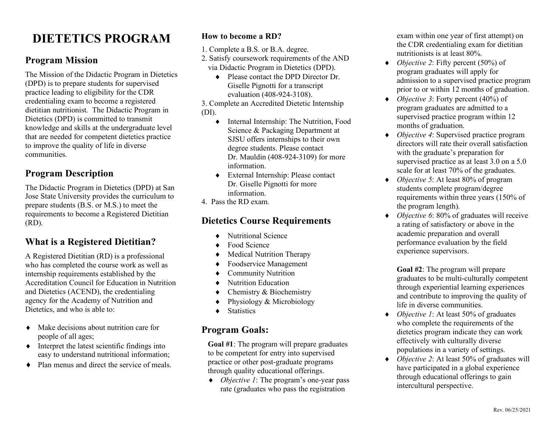## **DIETETICS PROGRAM**

#### **Program Mission**

 The Mission of the Didactic Program in Dietetics (DPD) is to prepare students for supervised practice leading to eligibility for the CDR credentialing exam to become a registered dietitian nutritionist. The Didactic Program in Dietetics (DPD) is committed to transmit knowledge and skills at the undergraduate level that are needed for competent dietetics practice to improve the quality of life in diverse communities.

#### **Program Description**

 The Didactic Program in Dietetics (DPD) at San Jose State University provides the curriculum to prepare students (B.S. or M.S.) to meet the requirements to become a Registered Dietitian (RD).

#### **What is a Registered Dietitian?**

 A Registered Dietitian (RD) is a professional who has completed the course work as well as internship requirements established by the Accreditation Council for Education in Nutrition and Dietetics (ACEND), the credentialing agency for the Academy of Nutrition and Dietetics, and who is able to:

- Make decisions about nutrition care for people of all ages;
- $\bullet$  Interpret the latest scientific findings into easy to understand nutritional information;
- Plan menus and direct the service of meals.

#### **How to become a RD?**

- 1. Complete a B.S. or B.A. degree.
- 2. Satisfy coursework requirements of the AND via Didactic Program in Dietetics (DPD).
	- Please contact the DPD Director Dr. Giselle Pignotti for a transcript evaluation (408-924-3108).

 3. Complete an Accredited Dietetic Internship (DI).

- Internal Internship: The Nutrition, Food SJSU offers internships to their own degree students. Please contact Dr. Mauldin (408-924-3109) for more Science & Packaging Department at information.
- ¨ External Internship: Please contact Dr. Giselle Pignotti for more information.
- 4. Pass the RD exam.

#### **Dietetics Course Requirements**

- ◆ Nutritional Science
- Food Science
- Medical Nutrition Therapy
- Foodservice Management
- ◆ Community Nutrition
- ◆ Nutrition Education
- $\triangleleft$  Chemistry & Biochemistry
- $\triangle$  Physiology & Microbiology
- ◆ Statistics

#### **Program Goals:**

 **Goal #1**: The program will prepare graduates to be competent for entry into supervised practice or other post-graduate programs through quality educational offerings.

 ¨ *Objective 1*: The program's one-year pass rate (graduates who pass the registration

 exam within one year of first attempt) on the CDR credentialing exam for dietitian nutritionists is at least 80%.

- ¨ *Objective 2*: Fifty percent (50%) of program graduates will apply for admission to a supervised practice program prior to or within 12 months of graduation.
- ¨ *Objective 3*: Forty percent (40%) of program graduates are admitted to a supervised practice program within 12 months of graduation.
- directors will rate their overall satisfaction with the graduate's preparation for supervised practice as at least 3.0 on a 5.0 scale for at least 70% of the graduates. ¨ *Objective 4*: Supervised practice program
- ¨ *Objective 5*: At least 80% of program students complete program/degree requirements within three years (150% of the program length).
- ¨ *Objective 6*: 80% of graduates will receive a rating of satisfactory or above in the performance evaluation by the field experience supervisors. academic preparation and overall

 **Goal #2**: The program will prepare graduates to be multi-culturally competent and contribute to improving the quality of life in diverse communities. through experiential learning experiences

- ¨ *Objective 1*: At least 50% of graduates who complete the requirements of the dietetics program indicate they can work effectively with culturally diverse populations in a variety of settings.
- ¨ *Objective 2*: At least 50% of graduates will have participated in a global experience through educational offerings to gain intercultural perspective.